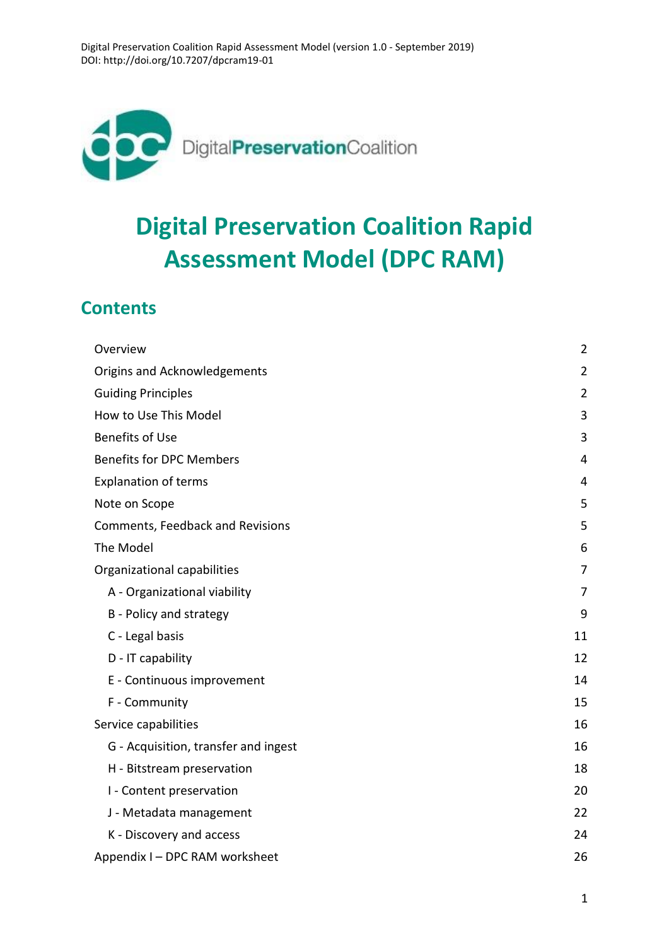

# **Digital Preservation Coalition Rapid Assessment Model (DPC RAM)**

### **Contents**

| Overview                             | $\overline{2}$ |
|--------------------------------------|----------------|
| Origins and Acknowledgements         | $\overline{2}$ |
| <b>Guiding Principles</b>            | $\overline{2}$ |
| How to Use This Model                | 3              |
| <b>Benefits of Use</b>               | 3              |
| <b>Benefits for DPC Members</b>      | 4              |
| <b>Explanation of terms</b>          | 4              |
| Note on Scope                        | 5              |
| Comments, Feedback and Revisions     | 5              |
| The Model                            | 6              |
| Organizational capabilities          | 7              |
| A - Organizational viability         | 7              |
| B - Policy and strategy              | 9              |
| C - Legal basis                      | 11             |
| D - IT capability                    | 12             |
| E - Continuous improvement           | 14             |
| F - Community                        | 15             |
| Service capabilities                 | 16             |
| G - Acquisition, transfer and ingest | 16             |
| H - Bitstream preservation           | 18             |
| I - Content preservation             | 20             |
| J - Metadata management              | 22             |
| K - Discovery and access             | 24             |
| Appendix I - DPC RAM worksheet       | 26             |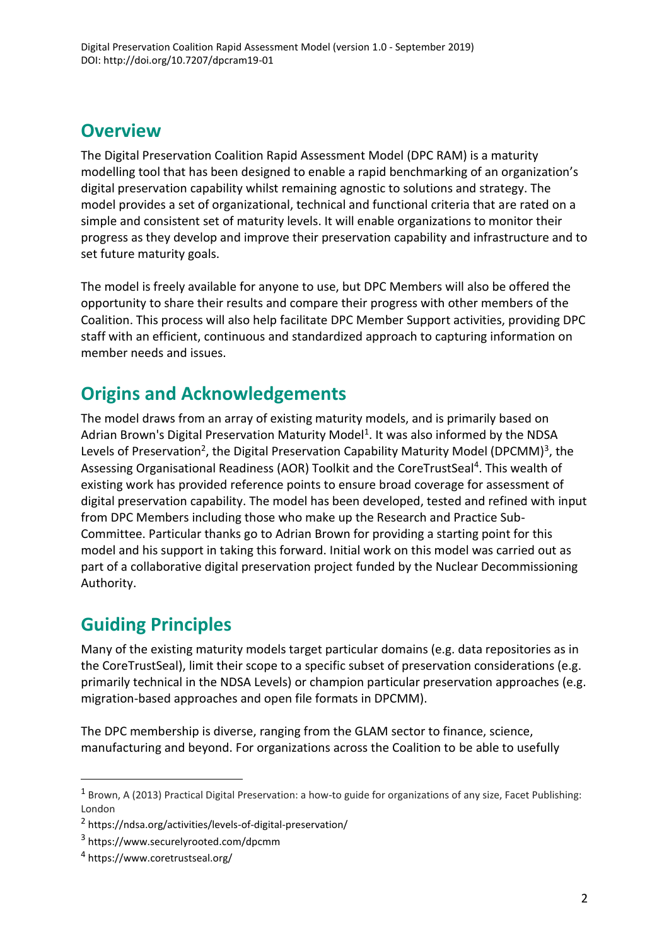### <span id="page-1-0"></span>**Overview**

The Digital Preservation Coalition Rapid Assessment Model (DPC RAM) is a maturity modelling tool that has been designed to enable a rapid benchmarking of an organization's digital preservation capability whilst remaining agnostic to solutions and strategy. The model provides a set of organizational, technical and functional criteria that are rated on a simple and consistent set of maturity levels. It will enable organizations to monitor their progress as they develop and improve their preservation capability and infrastructure and to set future maturity goals.

The model is freely available for anyone to use, but DPC Members will also be offered the opportunity to share their results and compare their progress with other members of the Coalition. This process will also help facilitate DPC Member Support activities, providing DPC staff with an efficient, continuous and standardized approach to capturing information on member needs and issues.

# <span id="page-1-1"></span>**Origins and Acknowledgements**

The model draws from an array of existing maturity models, and is primarily based on Adrian Brown's Digital Preservation Maturity Model<sup>1</sup>. It was also informed by the NDSA Levels of Preservation<sup>2</sup>, the Digital Preservation Capability Maturity Model (DPCMM)<sup>3</sup>, the Assessing Organisational Readiness (AOR) Toolkit and the CoreTrustSeal<sup>4</sup>. This wealth of existing work has provided reference points to ensure broad coverage for assessment of digital preservation capability. The model has been developed, tested and refined with input from DPC Members including those who make up the Research and Practice Sub-Committee. Particular thanks go to Adrian Brown for providing a starting point for this model and his support in taking this forward. Initial work on this model was carried out as part of a collaborative digital preservation project funded by the Nuclear Decommissioning Authority.

# <span id="page-1-2"></span>**Guiding Principles**

Many of the existing maturity models target particular domains (e.g. data repositories as in the CoreTrustSeal), limit their scope to a specific subset of preservation considerations (e.g. primarily technical in the NDSA Levels) or champion particular preservation approaches (e.g. migration-based approaches and open file formats in DPCMM).

The DPC membership is diverse, ranging from the GLAM sector to finance, science, manufacturing and beyond. For organizations across the Coalition to be able to usefully

 $1$  Brown, A (2013) Practical Digital Preservation: a how-to guide for organizations of any size, Facet Publishing: London

<sup>2</sup> https://ndsa.org/activities/levels-of-digital-preservation/

<sup>3</sup> https://www.securelyrooted.com/dpcmm

<sup>4</sup> https://www.coretrustseal.org/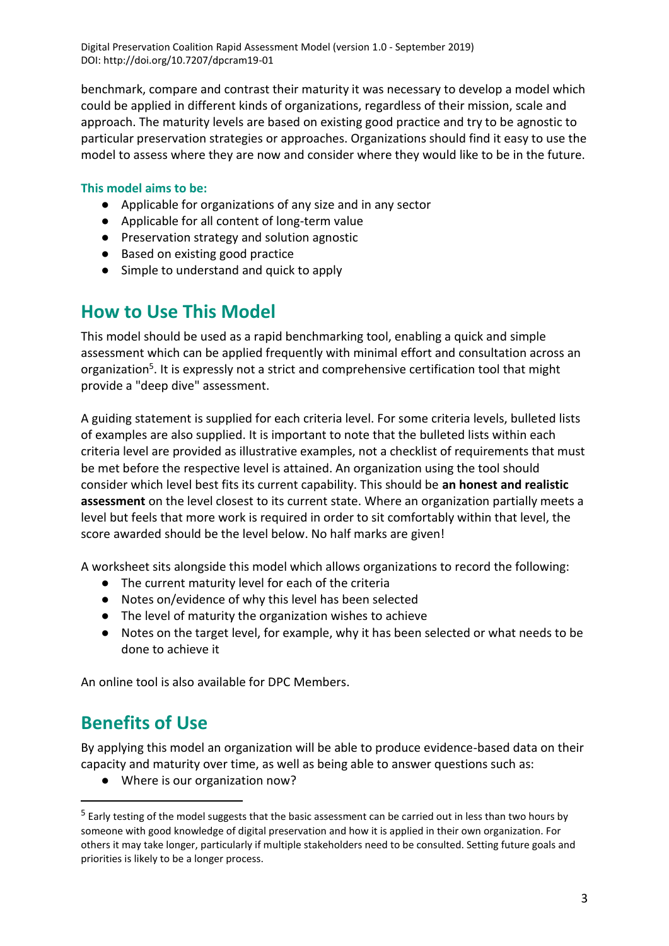benchmark, compare and contrast their maturity it was necessary to develop a model which could be applied in different kinds of organizations, regardless of their mission, scale and approach. The maturity levels are based on existing good practice and try to be agnostic to particular preservation strategies or approaches. Organizations should find it easy to use the model to assess where they are now and consider where they would like to be in the future.

#### **This model aims to be:**

- Applicable for organizations of any size and in any sector
- Applicable for all content of long-term value
- Preservation strategy and solution agnostic
- Based on existing good practice
- Simple to understand and quick to apply

### <span id="page-2-0"></span>**How to Use This Model**

This model should be used as a rapid benchmarking tool, enabling a quick and simple assessment which can be applied frequently with minimal effort and consultation across an organization<sup>5</sup>. It is expressly not a strict and comprehensive certification tool that might provide a "deep dive" assessment.

A guiding statement is supplied for each criteria level. For some criteria levels, bulleted lists of examples are also supplied. It is important to note that the bulleted lists within each criteria level are provided as illustrative examples, not a checklist of requirements that must be met before the respective level is attained. An organization using the tool should consider which level best fits its current capability. This should be **an honest and realistic assessment** on the level closest to its current state. Where an organization partially meets a level but feels that more work is required in order to sit comfortably within that level, the score awarded should be the level below. No half marks are given!

A worksheet sits alongside this model which allows organizations to record the following:

- The current maturity level for each of the criteria
- Notes on/evidence of why this level has been selected
- The level of maturity the organization wishes to achieve
- Notes on the target level, for example, why it has been selected or what needs to be done to achieve it

<span id="page-2-1"></span>An online tool is also available for DPC Members.

### **Benefits of Use**

By applying this model an organization will be able to produce evidence-based data on their capacity and maturity over time, as well as being able to answer questions such as:

● Where is our organization now?

<sup>&</sup>lt;sup>5</sup> Early testing of the model suggests that the basic assessment can be carried out in less than two hours by someone with good knowledge of digital preservation and how it is applied in their own organization. For others it may take longer, particularly if multiple stakeholders need to be consulted. Setting future goals and priorities is likely to be a longer process.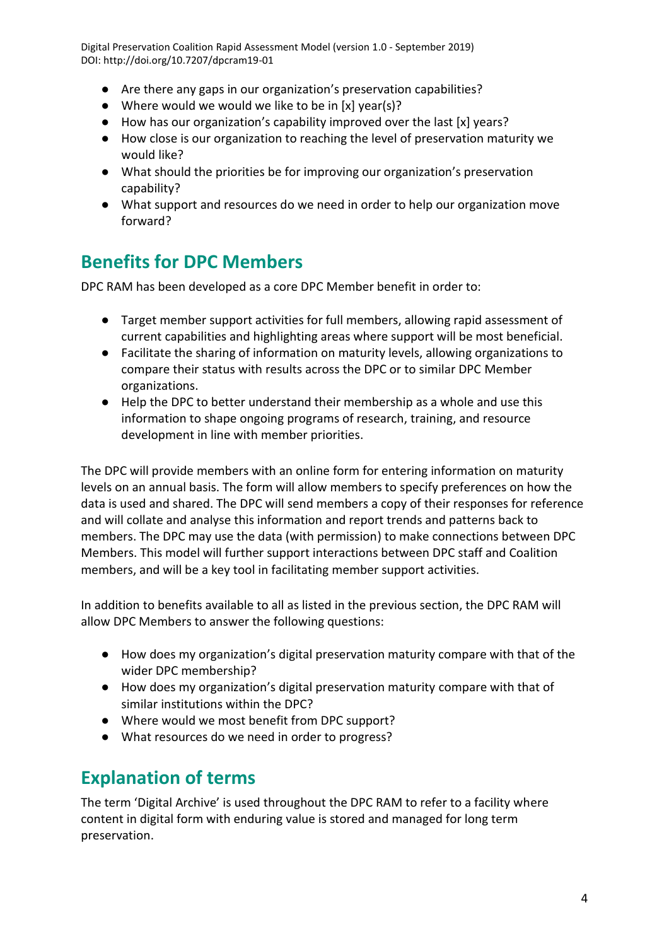- Are there any gaps in our organization's preservation capabilities?
- Where would we would we like to be in [x] year(s)?
- How has our organization's capability improved over the last [x] years?
- How close is our organization to reaching the level of preservation maturity we would like?
- What should the priorities be for improving our organization's preservation capability?
- What support and resources do we need in order to help our organization move forward?

# <span id="page-3-0"></span>**Benefits for DPC Members**

DPC RAM has been developed as a core DPC Member benefit in order to:

- Target member support activities for full members, allowing rapid assessment of current capabilities and highlighting areas where support will be most beneficial.
- Facilitate the sharing of information on maturity levels, allowing organizations to compare their status with results across the DPC or to similar DPC Member organizations.
- Help the DPC to better understand their membership as a whole and use this information to shape ongoing programs of research, training, and resource development in line with member priorities.

The DPC will provide members with an online form for entering information on maturity levels on an annual basis. The form will allow members to specify preferences on how the data is used and shared. The DPC will send members a copy of their responses for reference and will collate and analyse this information and report trends and patterns back to members. The DPC may use the data (with permission) to make connections between DPC Members. This model will further support interactions between DPC staff and Coalition members, and will be a key tool in facilitating member support activities.

In addition to benefits available to all as listed in the previous section, the DPC RAM will allow DPC Members to answer the following questions:

- How does my organization's digital preservation maturity compare with that of the wider DPC membership?
- How does my organization's digital preservation maturity compare with that of similar institutions within the DPC?
- Where would we most benefit from DPC support?
- What resources do we need in order to progress?

# <span id="page-3-1"></span>**Explanation of terms**

The term 'Digital Archive' is used throughout the DPC RAM to refer to a facility where content in digital form with enduring value is stored and managed for long term preservation.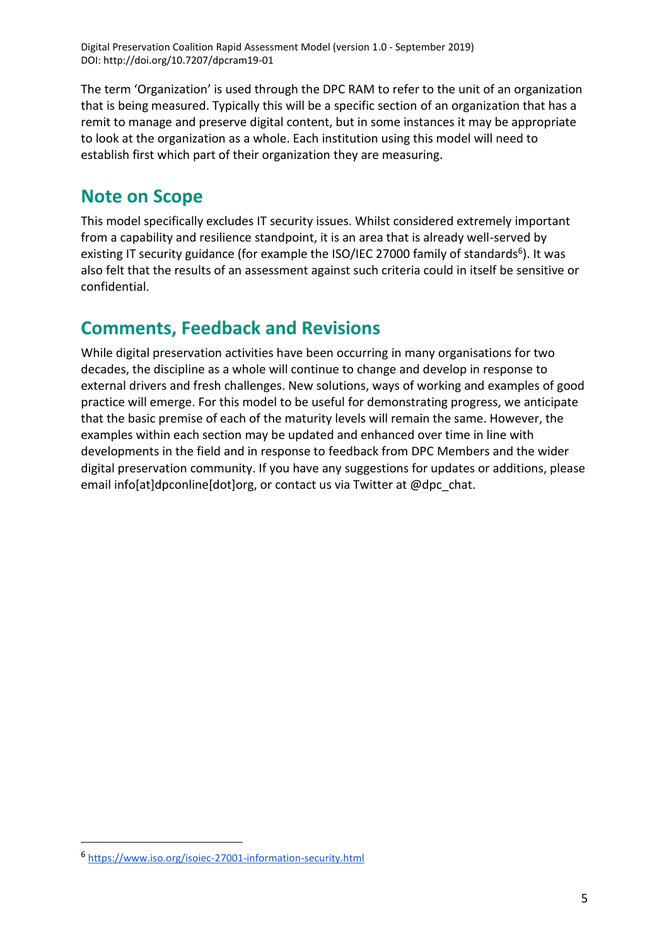The term 'Organization' is used through the DPC RAM to refer to the unit of an organization that is being measured. Typically this will be a specific section of an organization that has a remit to manage and preserve digital content, but in some instances it may be appropriate to look at the organization as a whole. Each institution using this model will need to establish first which part of their organization they are measuring.

### <span id="page-4-0"></span>**Note on Scope**

This model specifically excludes IT security issues. Whilst considered extremely important from a capability and resilience standpoint, it is an area that is already well-served by existing IT security guidance (for example the ISO/IEC 27000 family of standards<sup>6</sup>). It was also felt that the results of an assessment against such criteria could in itself be sensitive or confidential.

### <span id="page-4-1"></span>**Comments, Feedback and Revisions**

While digital preservation activities have been occurring in many organisations for two decades, the discipline as a whole will continue to change and develop in response to external drivers and fresh challenges. New solutions, ways of working and examples of good practice will emerge. For this model to be useful for demonstrating progress, we anticipate that the basic premise of each of the maturity levels will remain the same. However, the examples within each section may be updated and enhanced over time in line with developments in the field and in response to feedback from DPC Members and the wider digital preservation community. If you have any suggestions for updates or additions, please email info[at]dpconline[dot]org, or contact us via Twitter at @dpc\_chat.

<sup>6</sup> <https://www.iso.org/isoiec-27001-information-security.html>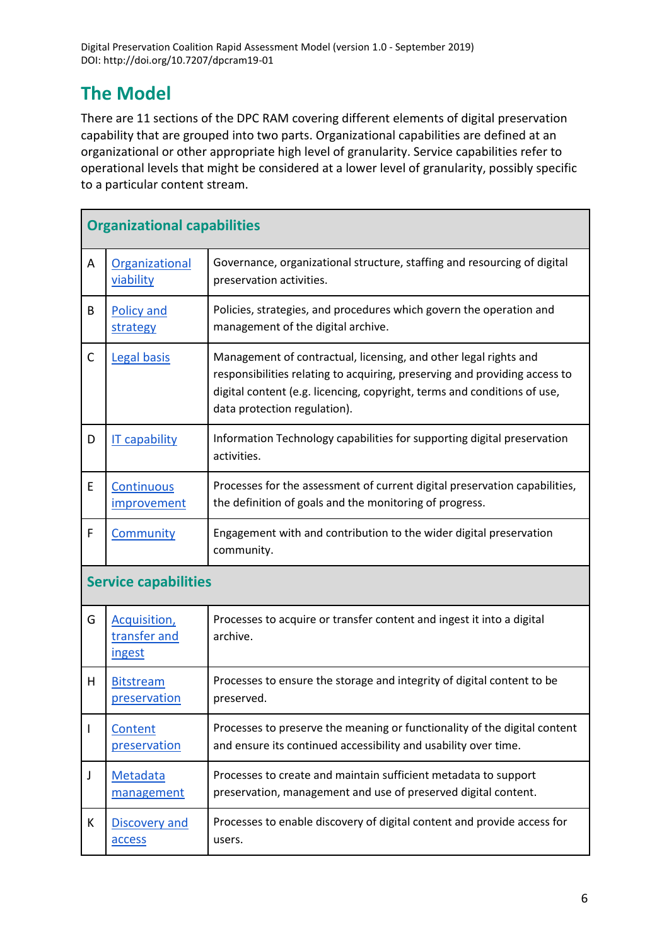# <span id="page-5-0"></span>**The Model**

There are 11 sections of the DPC RAM covering different elements of digital preservation capability that are grouped into two parts. Organizational capabilities are defined at an organizational or other appropriate high level of granularity. Service capabilities refer to operational levels that might be considered at a lower level of granularity, possibly specific to a particular content stream.

| <b>Organizational capabilities</b> |                                                       |                                                                                                                                                                                                                                                            |
|------------------------------------|-------------------------------------------------------|------------------------------------------------------------------------------------------------------------------------------------------------------------------------------------------------------------------------------------------------------------|
| A                                  | Organizational<br>viability                           | Governance, organizational structure, staffing and resourcing of digital<br>preservation activities.                                                                                                                                                       |
| B                                  | <b>Policy and</b><br>strategy                         | Policies, strategies, and procedures which govern the operation and<br>management of the digital archive.                                                                                                                                                  |
| C                                  | Legal basis                                           | Management of contractual, licensing, and other legal rights and<br>responsibilities relating to acquiring, preserving and providing access to<br>digital content (e.g. licencing, copyright, terms and conditions of use,<br>data protection regulation). |
| D                                  | <b>IT capability</b>                                  | Information Technology capabilities for supporting digital preservation<br>activities.                                                                                                                                                                     |
| E                                  | Continuous<br><i>improvement</i>                      | Processes for the assessment of current digital preservation capabilities,<br>the definition of goals and the monitoring of progress.                                                                                                                      |
| F                                  | <b>Community</b>                                      | Engagement with and contribution to the wider digital preservation<br>community.                                                                                                                                                                           |
| <b>Service capabilities</b>        |                                                       |                                                                                                                                                                                                                                                            |
| G                                  | <b>Acquisition</b> ,<br>transfer and<br><i>ingest</i> | Processes to acquire or transfer content and ingest it into a digital<br>archive.                                                                                                                                                                          |
| H                                  | <b>Bitstream</b><br>preservation                      | Processes to ensure the storage and integrity of digital content to be<br>preserved.                                                                                                                                                                       |
| I                                  | Content<br>preservation                               | Processes to preserve the meaning or functionality of the digital content<br>and ensure its continued accessibility and usability over time.                                                                                                               |
| J                                  | <b>Metadata</b><br>management                         | Processes to create and maintain sufficient metadata to support<br>preservation, management and use of preserved digital content.                                                                                                                          |
| K                                  | Discovery and<br>access                               | Processes to enable discovery of digital content and provide access for<br>users.                                                                                                                                                                          |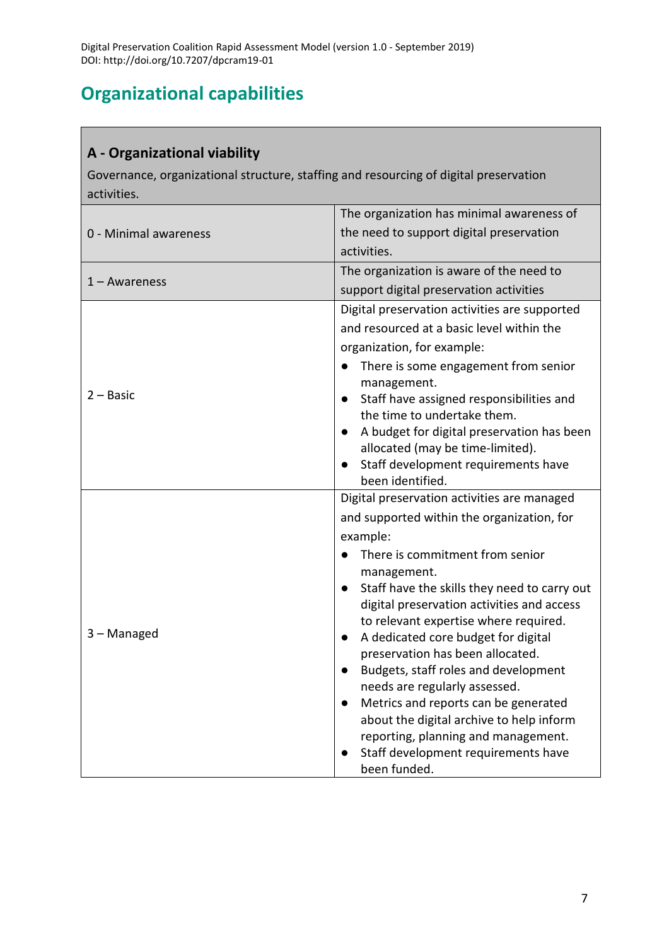# <span id="page-6-0"></span>**Organizational capabilities**

#### <span id="page-6-1"></span>**A - Organizational viability**

Governance, organizational structure, staffing and resourcing of digital preservation activities.

|                       | The organization has minimal awareness of                                                  |
|-----------------------|--------------------------------------------------------------------------------------------|
| 0 - Minimal awareness | the need to support digital preservation                                                   |
|                       | activities.                                                                                |
|                       | The organization is aware of the need to                                                   |
| $1 -$ Awareness       | support digital preservation activities                                                    |
|                       | Digital preservation activities are supported                                              |
|                       | and resourced at a basic level within the                                                  |
|                       | organization, for example:                                                                 |
|                       | There is some engagement from senior                                                       |
|                       | management.                                                                                |
| $2 - Basic$           | Staff have assigned responsibilities and<br>$\bullet$                                      |
|                       | the time to undertake them.                                                                |
|                       | A budget for digital preservation has been                                                 |
|                       | allocated (may be time-limited).<br>Staff development requirements have                    |
|                       | been identified.                                                                           |
|                       |                                                                                            |
|                       |                                                                                            |
|                       | Digital preservation activities are managed                                                |
|                       | and supported within the organization, for                                                 |
|                       | example:                                                                                   |
|                       | There is commitment from senior                                                            |
|                       | management.                                                                                |
|                       | Staff have the skills they need to carry out<br>digital preservation activities and access |
|                       | to relevant expertise where required.                                                      |
| 3 - Managed           | A dedicated core budget for digital<br>$\bullet$                                           |
|                       | preservation has been allocated.                                                           |
|                       | Budgets, staff roles and development<br>$\bullet$                                          |
|                       | needs are regularly assessed.                                                              |
|                       | Metrics and reports can be generated                                                       |
|                       | about the digital archive to help inform                                                   |
|                       | reporting, planning and management.                                                        |
|                       | Staff development requirements have<br>been funded.                                        |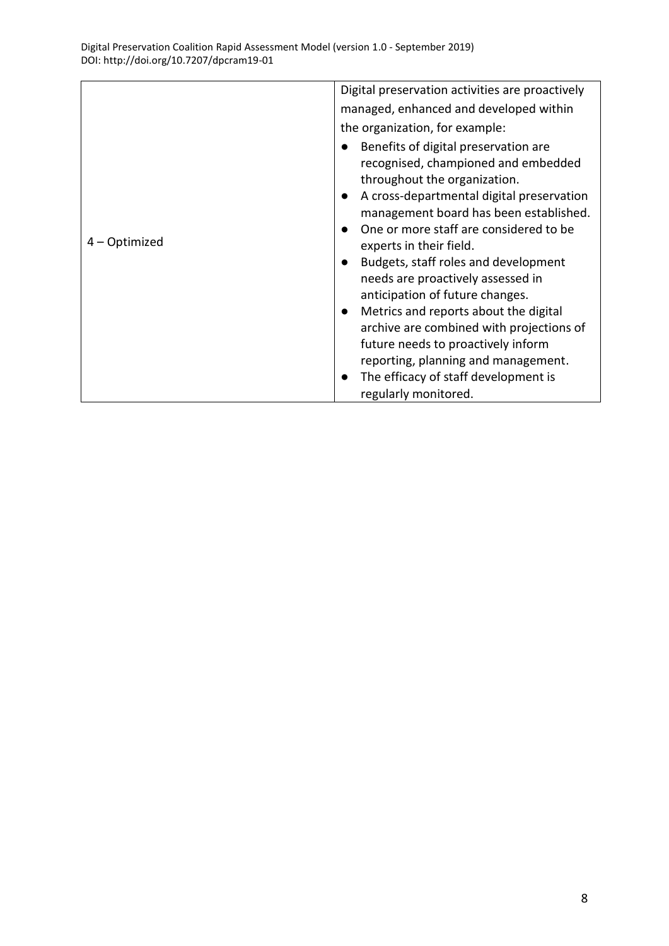| managed, enhanced and developed within<br>the organization, for example:<br>Benefits of digital preservation are<br>recognised, championed and embedded                                                                                                                                                                                                                                                                                                                                                                                                                               |  |
|---------------------------------------------------------------------------------------------------------------------------------------------------------------------------------------------------------------------------------------------------------------------------------------------------------------------------------------------------------------------------------------------------------------------------------------------------------------------------------------------------------------------------------------------------------------------------------------|--|
|                                                                                                                                                                                                                                                                                                                                                                                                                                                                                                                                                                                       |  |
|                                                                                                                                                                                                                                                                                                                                                                                                                                                                                                                                                                                       |  |
| throughout the organization.<br>A cross-departmental digital preservation<br>$\bullet$<br>management board has been established.<br>One or more staff are considered to be<br>4 – Optimized<br>experts in their field.<br>Budgets, staff roles and development<br>needs are proactively assessed in<br>anticipation of future changes.<br>Metrics and reports about the digital<br>$\bullet$<br>archive are combined with projections of<br>future needs to proactively inform<br>reporting, planning and management.<br>The efficacy of staff development is<br>regularly monitored. |  |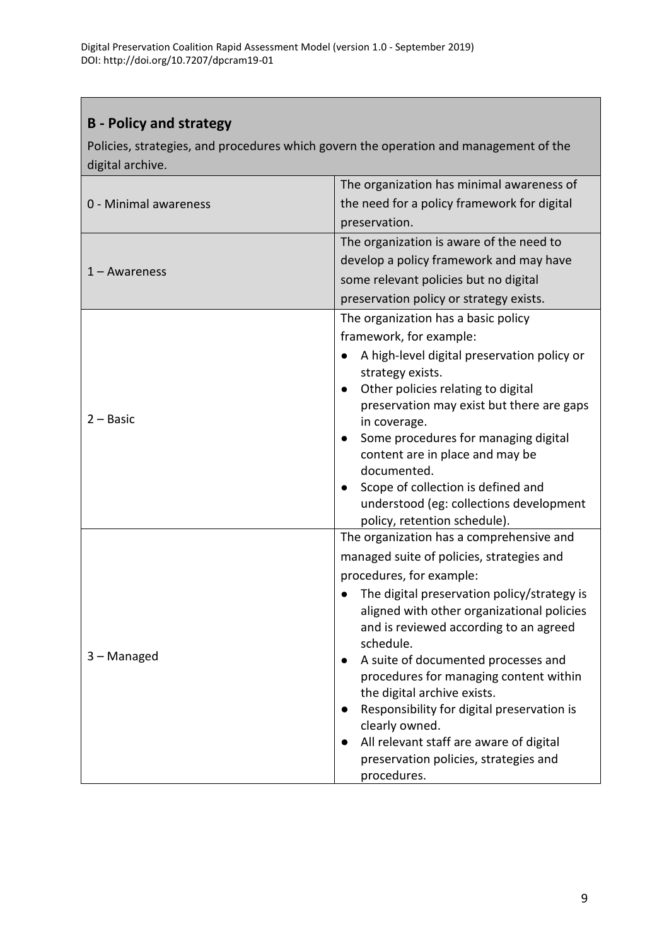### <span id="page-8-0"></span>**B - Policy and strategy**

Policies, strategies, and procedures which govern the operation and management of the digital archive.

|                       | The organization has minimal awareness of                                                                    |
|-----------------------|--------------------------------------------------------------------------------------------------------------|
| 0 - Minimal awareness | the need for a policy framework for digital                                                                  |
|                       | preservation.                                                                                                |
|                       | The organization is aware of the need to                                                                     |
|                       | develop a policy framework and may have                                                                      |
| $1 -$ Awareness       | some relevant policies but no digital                                                                        |
|                       | preservation policy or strategy exists.                                                                      |
|                       | The organization has a basic policy                                                                          |
|                       | framework, for example:                                                                                      |
|                       | A high-level digital preservation policy or<br>strategy exists.                                              |
| $2 - Basic$           | Other policies relating to digital<br>$\bullet$<br>preservation may exist but there are gaps<br>in coverage. |
|                       | Some procedures for managing digital                                                                         |
|                       | content are in place and may be                                                                              |
|                       | documented.                                                                                                  |
|                       | Scope of collection is defined and                                                                           |
|                       | understood (eg: collections development<br>policy, retention schedule).                                      |
|                       | The organization has a comprehensive and                                                                     |
|                       | managed suite of policies, strategies and                                                                    |
|                       | procedures, for example:                                                                                     |
|                       | The digital preservation policy/strategy is                                                                  |
|                       | aligned with other organizational policies<br>and is reviewed according to an agreed                         |
| 3 – Managed           | schedule.<br>A suite of documented processes and                                                             |
|                       | procedures for managing content within                                                                       |
|                       | the digital archive exists.                                                                                  |
|                       | Responsibility for digital preservation is                                                                   |
|                       | clearly owned.                                                                                               |
|                       | All relevant staff are aware of digital                                                                      |
|                       | preservation policies, strategies and                                                                        |
|                       | procedures.                                                                                                  |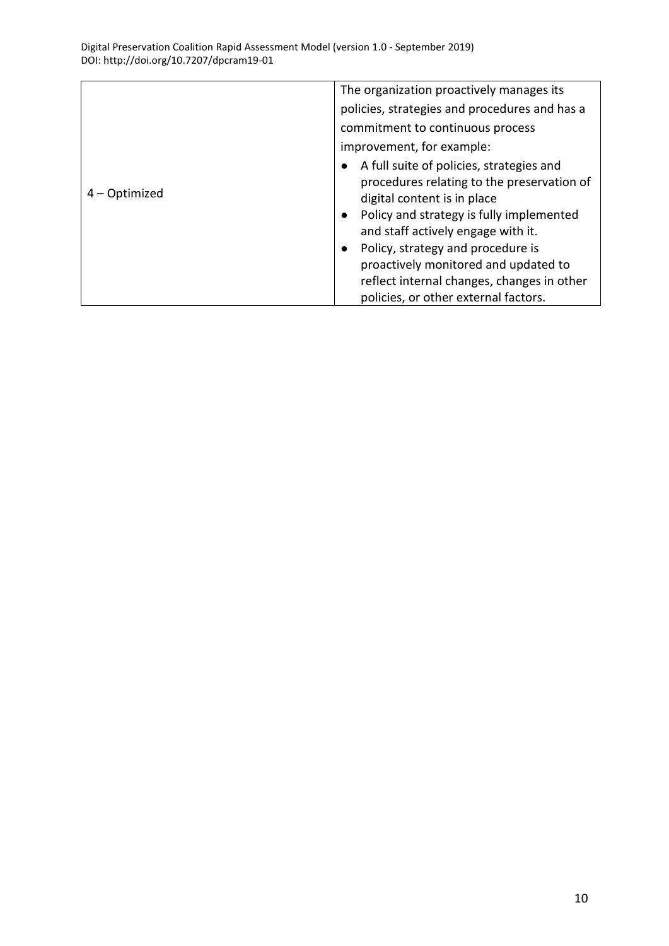|               | The organization proactively manages its                                                                                                                                                                                                                                                                                                                                                                          |
|---------------|-------------------------------------------------------------------------------------------------------------------------------------------------------------------------------------------------------------------------------------------------------------------------------------------------------------------------------------------------------------------------------------------------------------------|
|               | policies, strategies and procedures and has a                                                                                                                                                                                                                                                                                                                                                                     |
|               | commitment to continuous process                                                                                                                                                                                                                                                                                                                                                                                  |
|               | improvement, for example:                                                                                                                                                                                                                                                                                                                                                                                         |
| 4 – Optimized | A full suite of policies, strategies and<br>$\bullet$<br>procedures relating to the preservation of<br>digital content is in place<br>Policy and strategy is fully implemented<br>$\bullet$<br>and staff actively engage with it.<br>Policy, strategy and procedure is<br>$\bullet$<br>proactively monitored and updated to<br>reflect internal changes, changes in other<br>policies, or other external factors. |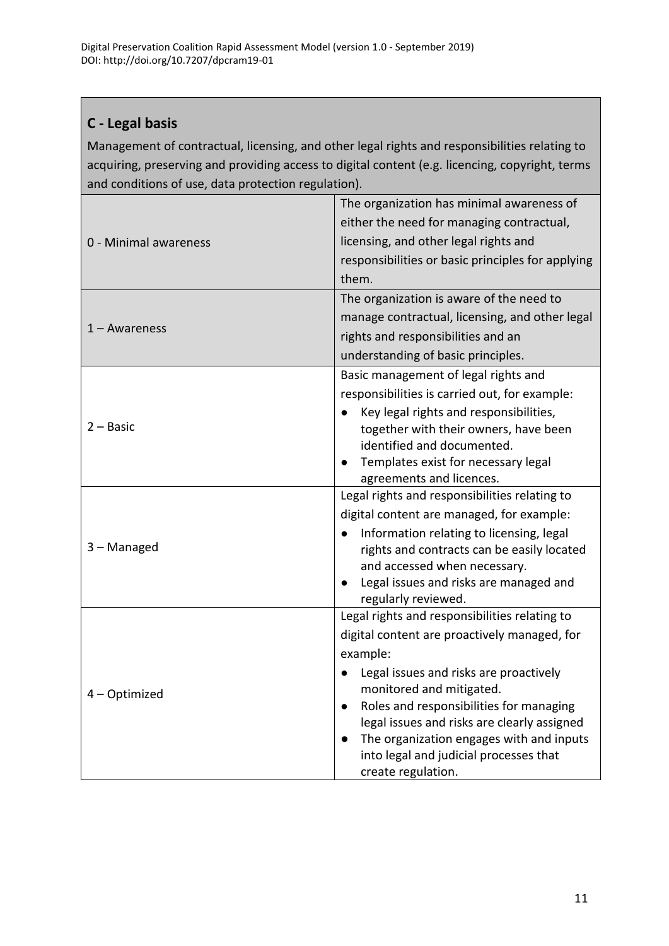### <span id="page-10-0"></span>**C - Legal basis**

Management of contractual, licensing, and other legal rights and responsibilities relating to acquiring, preserving and providing access to digital content (e.g. licencing, copyright, terms and conditions of use, data protection regulation).

|                       | The organization has minimal awareness of                                              |
|-----------------------|----------------------------------------------------------------------------------------|
|                       | either the need for managing contractual,                                              |
| 0 - Minimal awareness | licensing, and other legal rights and                                                  |
|                       | responsibilities or basic principles for applying                                      |
|                       | them.                                                                                  |
|                       | The organization is aware of the need to                                               |
| 1 – Awareness         | manage contractual, licensing, and other legal                                         |
|                       | rights and responsibilities and an                                                     |
|                       | understanding of basic principles.                                                     |
|                       | Basic management of legal rights and                                                   |
|                       | responsibilities is carried out, for example:                                          |
|                       | Key legal rights and responsibilities,                                                 |
| $2 - Basic$           | together with their owners, have been                                                  |
|                       | identified and documented.                                                             |
|                       | Templates exist for necessary legal<br>$\bullet$                                       |
|                       | agreements and licences.<br>Legal rights and responsibilities relating to              |
|                       | digital content are managed, for example:                                              |
|                       |                                                                                        |
| 3 - Managed           | Information relating to licensing, legal<br>rights and contracts can be easily located |
|                       | and accessed when necessary.                                                           |
|                       | Legal issues and risks are managed and<br>$\bullet$                                    |
|                       | regularly reviewed.                                                                    |
|                       | Legal rights and responsibilities relating to                                          |
|                       | digital content are proactively managed, for                                           |
|                       | example:                                                                               |
|                       | Legal issues and risks are proactively                                                 |
| 4 - Optimized         | monitored and mitigated.                                                               |
|                       | Roles and responsibilities for managing<br>$\bullet$                                   |
|                       | legal issues and risks are clearly assigned                                            |
|                       | The organization engages with and inputs<br>$\bullet$                                  |
|                       | into legal and judicial processes that                                                 |
|                       | create regulation.                                                                     |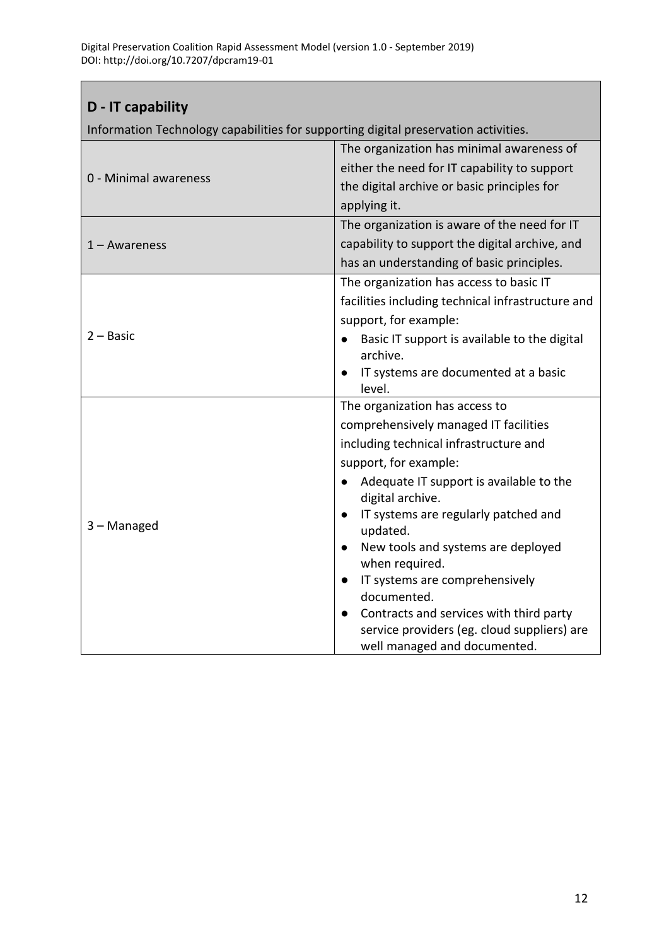### <span id="page-11-0"></span>**D - IT capability**

Information Technology capabilities for supporting digital preservation activities.

|                       | The organization has minimal awareness of                                              |
|-----------------------|----------------------------------------------------------------------------------------|
|                       | either the need for IT capability to support                                           |
| 0 - Minimal awareness | the digital archive or basic principles for                                            |
|                       | applying it.                                                                           |
|                       | The organization is aware of the need for IT                                           |
| $1 - Awareness$       | capability to support the digital archive, and                                         |
|                       | has an understanding of basic principles.                                              |
|                       | The organization has access to basic IT                                                |
|                       | facilities including technical infrastructure and                                      |
|                       | support, for example:                                                                  |
| $2 - Basic$           | Basic IT support is available to the digital                                           |
|                       | archive.                                                                               |
|                       | IT systems are documented at a basic                                                   |
|                       | level.<br>The organization has access to                                               |
|                       |                                                                                        |
|                       | comprehensively managed IT facilities                                                  |
|                       | including technical infrastructure and                                                 |
|                       | support, for example:                                                                  |
|                       | Adequate IT support is available to the<br>digital archive.                            |
| 3 - Managed           | IT systems are regularly patched and<br>updated.                                       |
|                       | New tools and systems are deployed<br>when required.                                   |
|                       | IT systems are comprehensively                                                         |
|                       | documented.                                                                            |
|                       | Contracts and services with third party<br>service providers (eg. cloud suppliers) are |
|                       | well managed and documented.                                                           |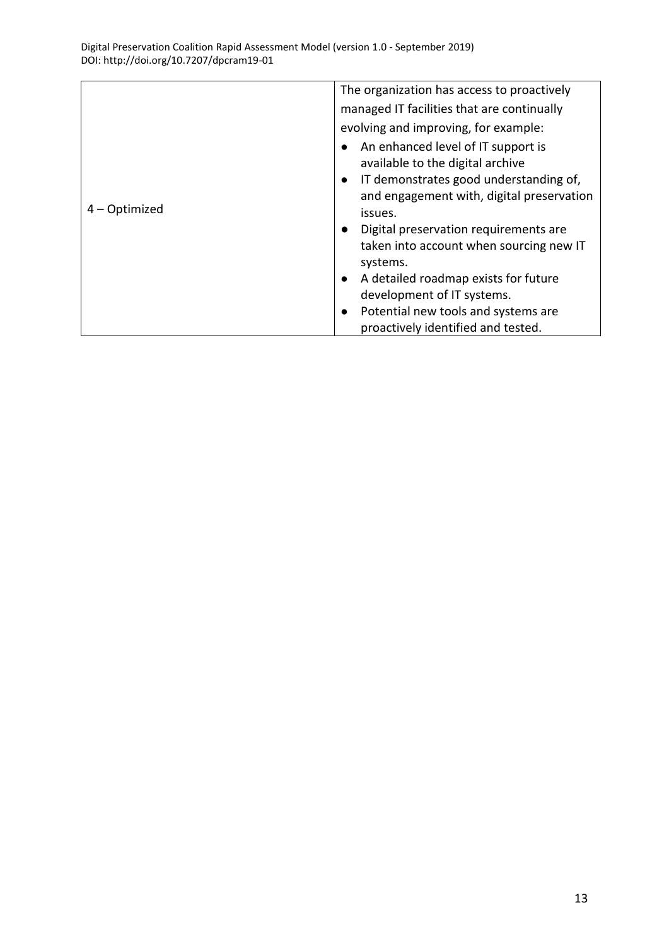|               | The organization has access to proactively                                                                                    |
|---------------|-------------------------------------------------------------------------------------------------------------------------------|
|               | managed IT facilities that are continually                                                                                    |
|               | evolving and improving, for example:                                                                                          |
| 4 – Optimized | An enhanced level of IT support is<br>available to the digital archive<br>IT demonstrates good understanding of,<br>$\bullet$ |
|               | and engagement with, digital preservation<br>issues.                                                                          |
|               | Digital preservation requirements are<br>$\bullet$                                                                            |
|               | taken into account when sourcing new IT<br>systems.                                                                           |
|               | A detailed roadmap exists for future<br>$\bullet$                                                                             |
|               | development of IT systems.                                                                                                    |
|               | Potential new tools and systems are<br>$\bullet$                                                                              |
|               | proactively identified and tested.                                                                                            |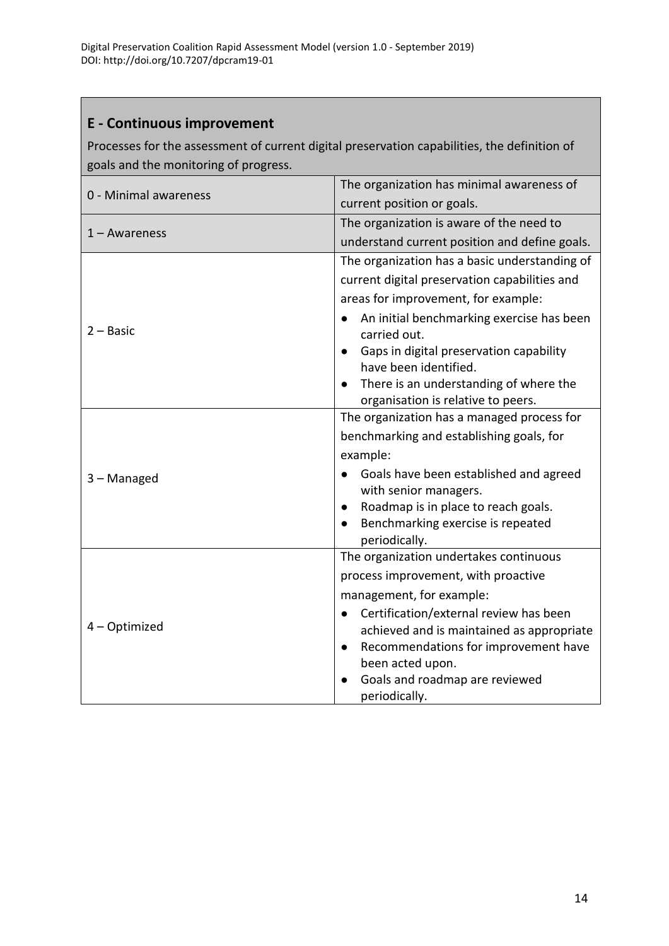### <span id="page-13-0"></span>**E - Continuous improvement**

Processes for the assessment of current digital preservation capabilities, the definition of goals and the monitoring of progress.

| 0 - Minimal awareness | The organization has minimal awareness of                                        |
|-----------------------|----------------------------------------------------------------------------------|
|                       | current position or goals.                                                       |
|                       | The organization is aware of the need to                                         |
| $1 - Awareness$       | understand current position and define goals.                                    |
|                       | The organization has a basic understanding of                                    |
|                       | current digital preservation capabilities and                                    |
|                       | areas for improvement, for example:                                              |
| $2 - Basic$           | An initial benchmarking exercise has been<br>carried out.                        |
|                       | Gaps in digital preservation capability<br>have been identified.                 |
|                       | There is an understanding of where the                                           |
|                       | organisation is relative to peers.<br>The organization has a managed process for |
|                       | benchmarking and establishing goals, for                                         |
|                       | example:                                                                         |
| 3 - Managed           | Goals have been established and agreed<br>with senior managers.                  |
|                       | Roadmap is in place to reach goals.                                              |
|                       | Benchmarking exercise is repeated<br>periodically.                               |
|                       | The organization undertakes continuous                                           |
|                       | process improvement, with proactive                                              |
|                       | management, for example:                                                         |
|                       | Certification/external review has been                                           |
| 4 - Optimized         | achieved and is maintained as appropriate                                        |
|                       | Recommendations for improvement have<br>been acted upon.                         |
|                       | Goals and roadmap are reviewed                                                   |
|                       | periodically.                                                                    |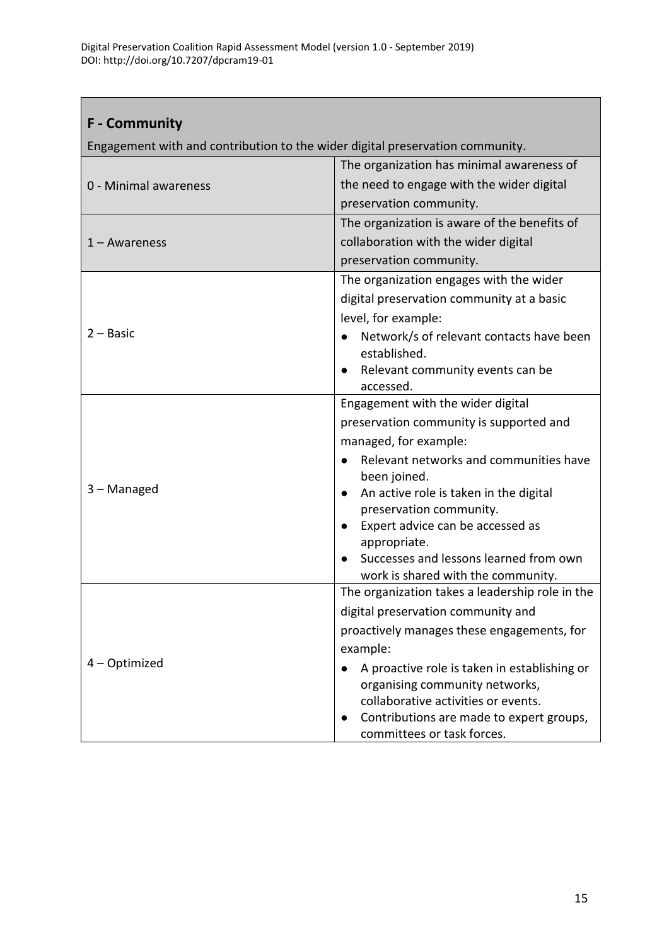### <span id="page-14-0"></span>**F - Community**

Engagement with and contribution to the wider digital preservation community.

<span id="page-14-1"></span>

|                       | The organization has minimal awareness of           |
|-----------------------|-----------------------------------------------------|
| 0 - Minimal awareness | the need to engage with the wider digital           |
|                       | preservation community.                             |
|                       | The organization is aware of the benefits of        |
| 1 – Awareness         | collaboration with the wider digital                |
|                       | preservation community.                             |
|                       | The organization engages with the wider             |
|                       | digital preservation community at a basic           |
|                       | level, for example:                                 |
| $2 - Basic$           | Network/s of relevant contacts have been            |
|                       | established.                                        |
|                       | Relevant community events can be                    |
|                       | accessed.<br>Engagement with the wider digital      |
|                       | preservation community is supported and             |
|                       | managed, for example:                               |
|                       | Relevant networks and communities have              |
|                       | been joined.                                        |
| 3 - Managed           | An active role is taken in the digital<br>$\bullet$ |
|                       | preservation community.                             |
|                       | Expert advice can be accessed as                    |
|                       | appropriate.                                        |
|                       | Successes and lessons learned from own              |
|                       | work is shared with the community.                  |
| 4 - Optimized         | The organization takes a leadership role in the     |
|                       | digital preservation community and                  |
|                       | proactively manages these engagements, for          |
|                       | example:                                            |
|                       | A proactive role is taken in establishing or        |
|                       | organising community networks,                      |
|                       | collaborative activities or events.                 |
|                       | Contributions are made to expert groups,            |
|                       | committees or task forces.                          |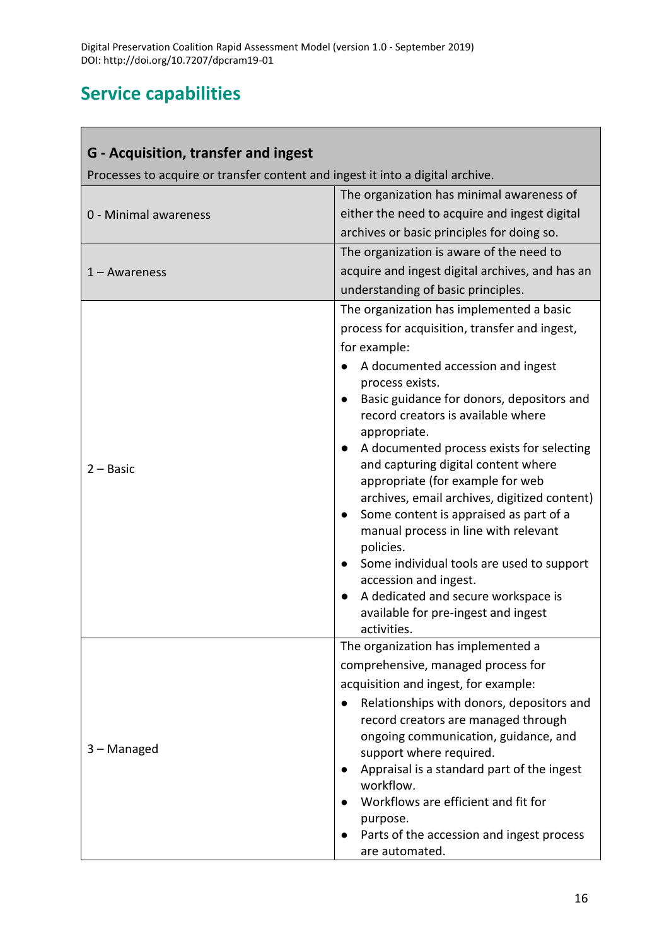# **Service capabilities**

<span id="page-15-0"></span>Г

| G - Acquisition, transfer and ingest                                           |                                                                                  |  |
|--------------------------------------------------------------------------------|----------------------------------------------------------------------------------|--|
| Processes to acquire or transfer content and ingest it into a digital archive. |                                                                                  |  |
|                                                                                | The organization has minimal awareness of                                        |  |
| 0 - Minimal awareness                                                          | either the need to acquire and ingest digital                                    |  |
|                                                                                | archives or basic principles for doing so.                                       |  |
|                                                                                | The organization is aware of the need to                                         |  |
| $1 - Awareness$                                                                | acquire and ingest digital archives, and has an                                  |  |
|                                                                                | understanding of basic principles.                                               |  |
|                                                                                | The organization has implemented a basic                                         |  |
|                                                                                | process for acquisition, transfer and ingest,                                    |  |
|                                                                                | for example:                                                                     |  |
|                                                                                | A documented accession and ingest<br>process exists.                             |  |
|                                                                                | Basic guidance for donors, depositors and                                        |  |
|                                                                                | record creators is available where                                               |  |
|                                                                                | appropriate.                                                                     |  |
|                                                                                | A documented process exists for selecting                                        |  |
| $2 - Basic$                                                                    | and capturing digital content where                                              |  |
|                                                                                | appropriate (for example for web<br>archives, email archives, digitized content) |  |
|                                                                                | Some content is appraised as part of a                                           |  |
|                                                                                | manual process in line with relevant                                             |  |
|                                                                                | policies.                                                                        |  |
|                                                                                | Some individual tools are used to support<br>accession and ingest.               |  |
|                                                                                | A dedicated and secure workspace is                                              |  |
|                                                                                | available for pre-ingest and ingest                                              |  |
|                                                                                | activities.<br>The organization has implemented a                                |  |
|                                                                                | comprehensive, managed process for                                               |  |
|                                                                                | acquisition and ingest, for example:                                             |  |
|                                                                                | Relationships with donors, depositors and                                        |  |
|                                                                                | record creators are managed through                                              |  |
|                                                                                | ongoing communication, guidance, and                                             |  |
| 3 - Managed                                                                    | support where required.                                                          |  |
|                                                                                | Appraisal is a standard part of the ingest                                       |  |
|                                                                                | workflow.                                                                        |  |
|                                                                                | Workflows are efficient and fit for                                              |  |
|                                                                                | purpose.<br>Parts of the accession and ingest process                            |  |
|                                                                                | are automated.                                                                   |  |

i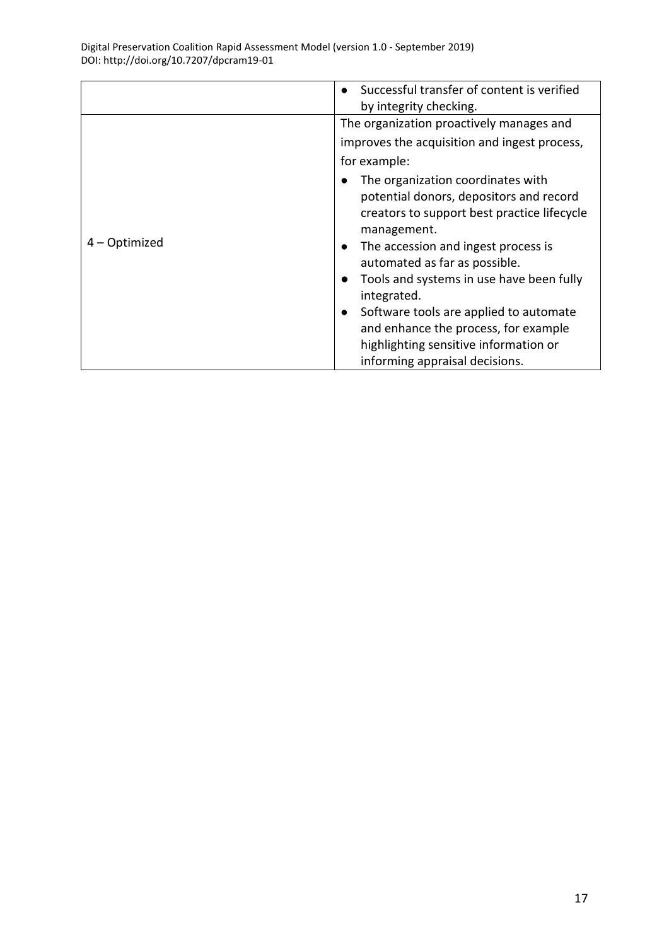|               | Successful transfer of content is verified<br>by integrity checking.                                                                                                                                                                                                                       |  |  |  |  |
|---------------|--------------------------------------------------------------------------------------------------------------------------------------------------------------------------------------------------------------------------------------------------------------------------------------------|--|--|--|--|
|               | The organization proactively manages and<br>improves the acquisition and ingest process,                                                                                                                                                                                                   |  |  |  |  |
| 4 – Optimized | for example:                                                                                                                                                                                                                                                                               |  |  |  |  |
|               | The organization coordinates with<br>potential donors, depositors and record<br>creators to support best practice lifecycle<br>management.<br>The accession and ingest process is<br>$\bullet$<br>automated as far as possible.<br>Tools and systems in use have been fully<br>integrated. |  |  |  |  |
|               | Software tools are applied to automate<br>$\bullet$<br>and enhance the process, for example                                                                                                                                                                                                |  |  |  |  |
|               | highlighting sensitive information or<br>informing appraisal decisions.                                                                                                                                                                                                                    |  |  |  |  |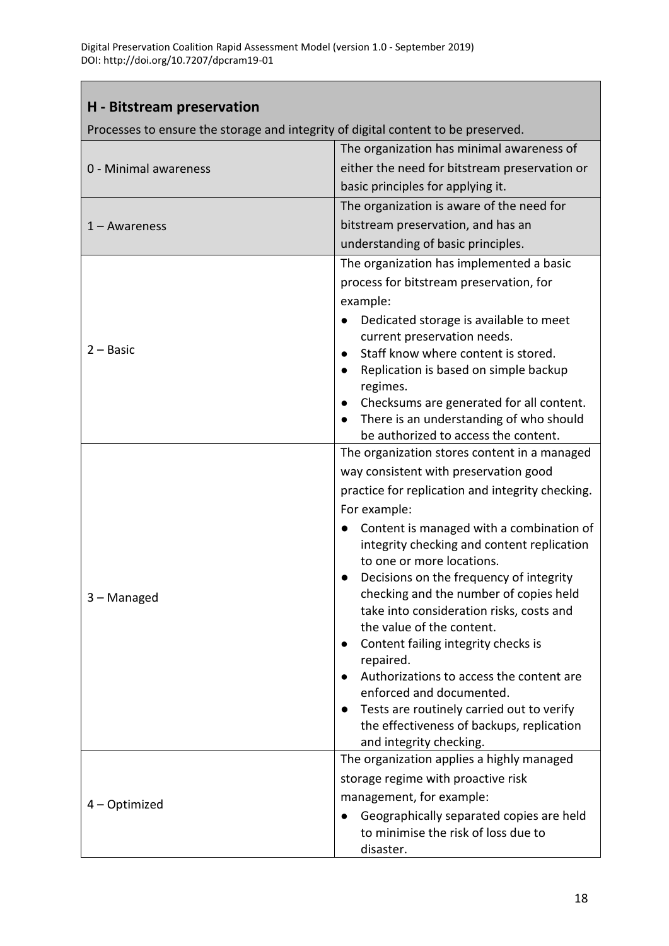#### <span id="page-17-0"></span>**H - Bitstream preservation**

Processes to ensure the storage and integrity of digital content to be preserved.

|                       | The organization has minimal awareness of                                         |  |  |  |
|-----------------------|-----------------------------------------------------------------------------------|--|--|--|
| 0 - Minimal awareness | either the need for bitstream preservation or                                     |  |  |  |
|                       | basic principles for applying it.                                                 |  |  |  |
|                       | The organization is aware of the need for                                         |  |  |  |
| $1 - Awareness$       | bitstream preservation, and has an                                                |  |  |  |
|                       | understanding of basic principles.                                                |  |  |  |
|                       | The organization has implemented a basic                                          |  |  |  |
|                       | process for bitstream preservation, for                                           |  |  |  |
|                       | example:                                                                          |  |  |  |
|                       | Dedicated storage is available to meet                                            |  |  |  |
| $2 - Basic$           | current preservation needs.                                                       |  |  |  |
|                       | Staff know where content is stored.                                               |  |  |  |
|                       | Replication is based on simple backup<br>$\bullet$<br>regimes.                    |  |  |  |
|                       | Checksums are generated for all content.<br>$\bullet$                             |  |  |  |
|                       | There is an understanding of who should                                           |  |  |  |
|                       | be authorized to access the content.                                              |  |  |  |
|                       | The organization stores content in a managed                                      |  |  |  |
|                       | way consistent with preservation good                                             |  |  |  |
|                       | practice for replication and integrity checking.                                  |  |  |  |
|                       | For example:                                                                      |  |  |  |
|                       | Content is managed with a combination of                                          |  |  |  |
|                       | integrity checking and content replication                                        |  |  |  |
|                       | to one or more locations.<br>Decisions on the frequency of integrity<br>$\bullet$ |  |  |  |
|                       | checking and the number of copies held                                            |  |  |  |
| 3 - Managed           | take into consideration risks, costs and                                          |  |  |  |
|                       | the value of the content.                                                         |  |  |  |
|                       | Content failing integrity checks is                                               |  |  |  |
|                       | repaired.                                                                         |  |  |  |
|                       | Authorizations to access the content are                                          |  |  |  |
|                       | enforced and documented.<br>Tests are routinely carried out to verify             |  |  |  |
|                       | the effectiveness of backups, replication                                         |  |  |  |
|                       | and integrity checking.                                                           |  |  |  |
|                       | The organization applies a highly managed                                         |  |  |  |
|                       | storage regime with proactive risk                                                |  |  |  |
| 4 - Optimized         | management, for example:                                                          |  |  |  |
|                       | Geographically separated copies are held                                          |  |  |  |
|                       | to minimise the risk of loss due to                                               |  |  |  |
|                       | disaster.                                                                         |  |  |  |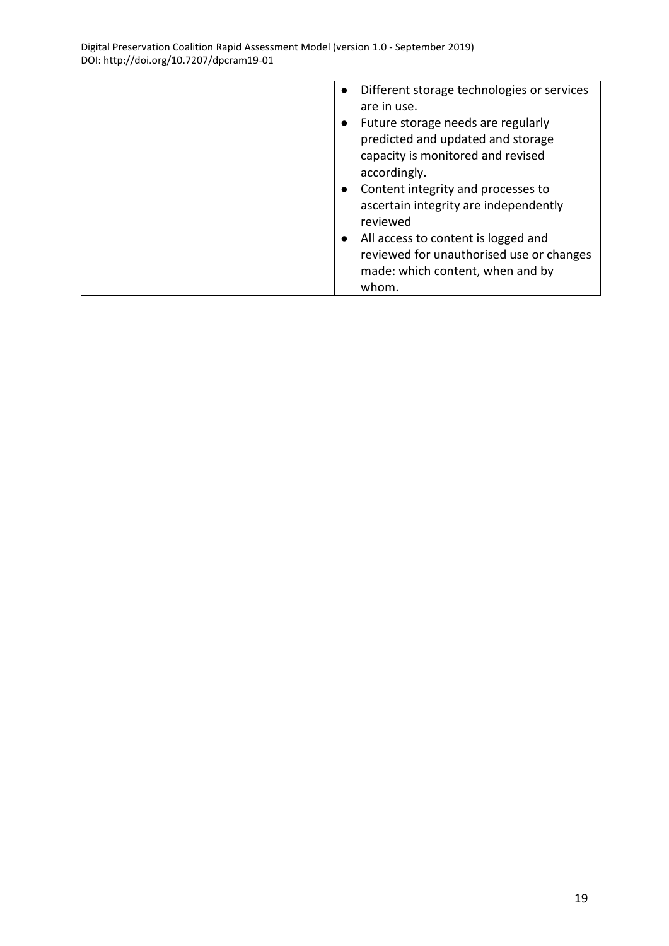| Different storage technologies or services<br>$\bullet$ |
|---------------------------------------------------------|
| are in use.                                             |
|                                                         |
| Future storage needs are regularly<br>$\bullet$         |
| predicted and updated and storage                       |
| capacity is monitored and revised                       |
| accordingly.                                            |
|                                                         |
| Content integrity and processes to<br>$\bullet$         |
| ascertain integrity are independently                   |
| reviewed                                                |
|                                                         |
| All access to content is logged and<br>$\bullet$        |
| reviewed for unauthorised use or changes                |
|                                                         |
| made: which content, when and by                        |
| whom.                                                   |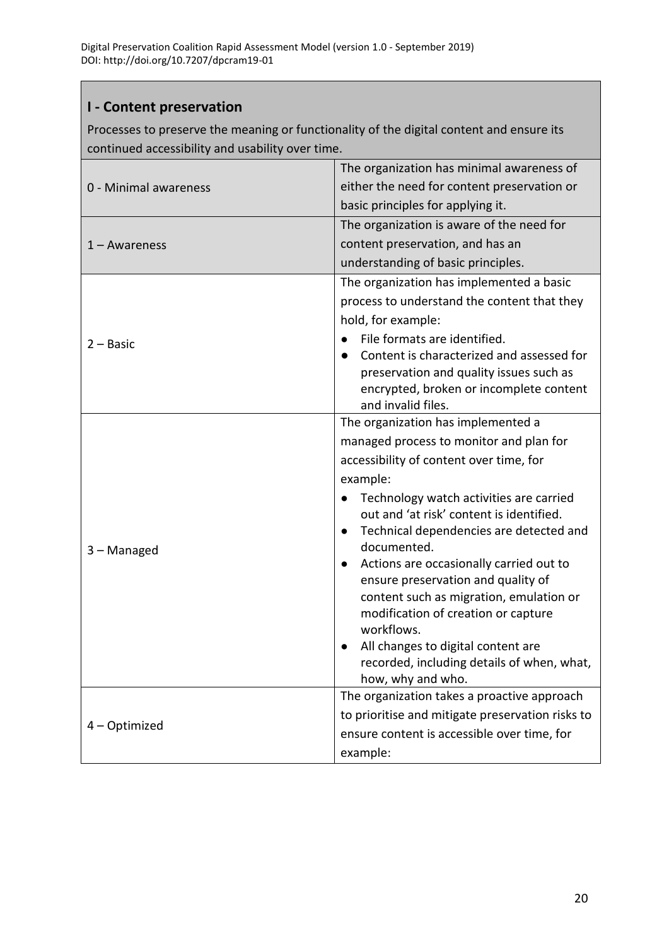#### <span id="page-19-0"></span>**I - Content preservation**

Processes to preserve the meaning or functionality of the digital content and ensure its continued accessibility and usability over time.

|                       | The organization has minimal awareness of                                     |  |  |  |
|-----------------------|-------------------------------------------------------------------------------|--|--|--|
| 0 - Minimal awareness | either the need for content preservation or                                   |  |  |  |
|                       | basic principles for applying it.                                             |  |  |  |
|                       | The organization is aware of the need for                                     |  |  |  |
| $1 - Awareness$       | content preservation, and has an                                              |  |  |  |
|                       | understanding of basic principles.                                            |  |  |  |
|                       | The organization has implemented a basic                                      |  |  |  |
|                       | process to understand the content that they                                   |  |  |  |
|                       | hold, for example:                                                            |  |  |  |
| $2 - Basic$           | File formats are identified.<br>$\bullet$                                     |  |  |  |
|                       | Content is characterized and assessed for<br>$\bullet$                        |  |  |  |
|                       | preservation and quality issues such as                                       |  |  |  |
|                       | encrypted, broken or incomplete content<br>and invalid files.                 |  |  |  |
|                       | The organization has implemented a                                            |  |  |  |
|                       | managed process to monitor and plan for                                       |  |  |  |
|                       | accessibility of content over time, for                                       |  |  |  |
|                       | example:                                                                      |  |  |  |
|                       | Technology watch activities are carried                                       |  |  |  |
|                       | out and 'at risk' content is identified.                                      |  |  |  |
|                       | Technical dependencies are detected and                                       |  |  |  |
| 3 - Managed           | documented.                                                                   |  |  |  |
|                       | Actions are occasionally carried out to<br>$\bullet$                          |  |  |  |
|                       | ensure preservation and quality of<br>content such as migration, emulation or |  |  |  |
|                       | modification of creation or capture                                           |  |  |  |
|                       | workflows.                                                                    |  |  |  |
|                       | All changes to digital content are                                            |  |  |  |
|                       | recorded, including details of when, what,                                    |  |  |  |
|                       | how, why and who.                                                             |  |  |  |
|                       | The organization takes a proactive approach                                   |  |  |  |
| 4 - Optimized         | to prioritise and mitigate preservation risks to                              |  |  |  |
|                       | ensure content is accessible over time, for                                   |  |  |  |
|                       | example:                                                                      |  |  |  |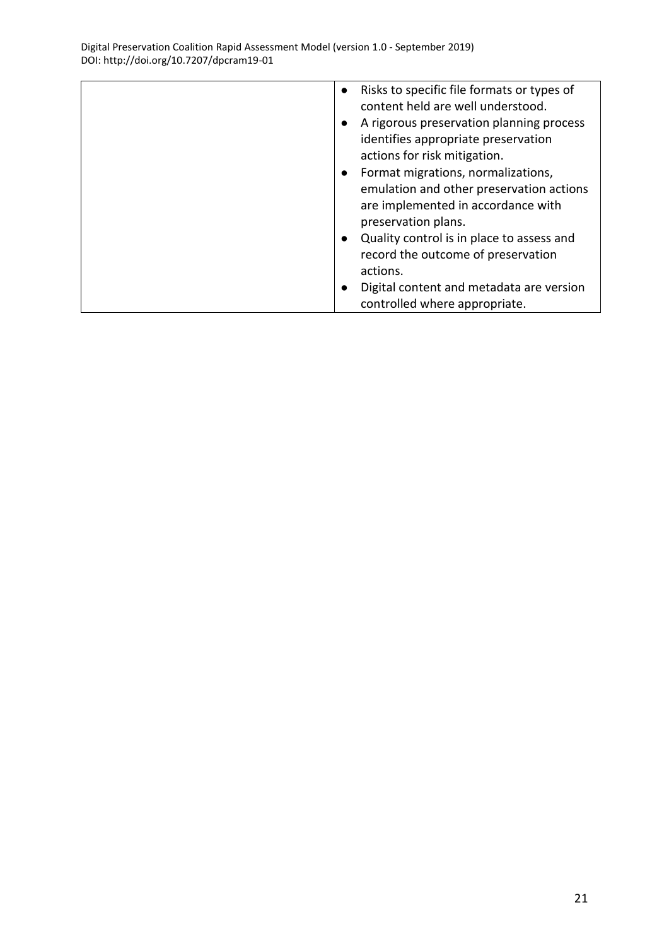| Risks to specific file formats or types of<br>$\bullet$<br>content held are well understood. |
|----------------------------------------------------------------------------------------------|
| A rigorous preservation planning process<br>$\bullet$                                        |
| identifies appropriate preservation                                                          |
| actions for risk mitigation.                                                                 |
| Format migrations, normalizations,<br>$\bullet$                                              |
| emulation and other preservation actions                                                     |
| are implemented in accordance with                                                           |
| preservation plans.                                                                          |
| Quality control is in place to assess and<br>$\bullet$                                       |
| record the outcome of preservation                                                           |
| actions.                                                                                     |
| Digital content and metadata are version<br>$\bullet$                                        |
| controlled where appropriate.                                                                |
|                                                                                              |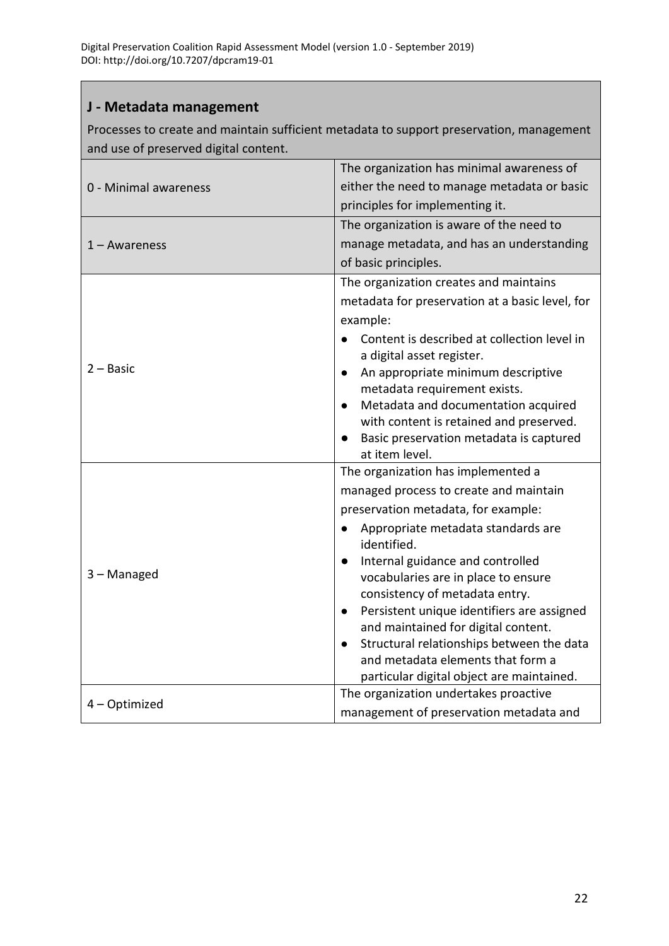#### <span id="page-21-0"></span>**J - Metadata management**

Processes to create and maintain sufficient metadata to support preservation, management and use of preserved digital content.

|                       | The organization has minimal awareness of                                          |  |  |
|-----------------------|------------------------------------------------------------------------------------|--|--|
| 0 - Minimal awareness | either the need to manage metadata or basic                                        |  |  |
|                       | principles for implementing it.                                                    |  |  |
|                       | The organization is aware of the need to                                           |  |  |
| $1 -$ Awareness       | manage metadata, and has an understanding                                          |  |  |
|                       | of basic principles.                                                               |  |  |
|                       | The organization creates and maintains                                             |  |  |
|                       | metadata for preservation at a basic level, for                                    |  |  |
|                       | example:                                                                           |  |  |
|                       | Content is described at collection level in                                        |  |  |
|                       | a digital asset register.                                                          |  |  |
| 2 – Basic             | An appropriate minimum descriptive<br>$\bullet$                                    |  |  |
|                       | metadata requirement exists.                                                       |  |  |
|                       | Metadata and documentation acquired<br>$\bullet$                                   |  |  |
|                       | with content is retained and preserved.<br>Basic preservation metadata is captured |  |  |
|                       | at item level.                                                                     |  |  |
|                       | The organization has implemented a                                                 |  |  |
|                       | managed process to create and maintain                                             |  |  |
|                       | preservation metadata, for example:                                                |  |  |
|                       | Appropriate metadata standards are<br>identified.                                  |  |  |
|                       | Internal guidance and controlled<br>$\bullet$                                      |  |  |
| 3 - Managed           | vocabularies are in place to ensure                                                |  |  |
|                       | consistency of metadata entry.                                                     |  |  |
|                       | Persistent unique identifiers are assigned                                         |  |  |
|                       | and maintained for digital content.                                                |  |  |
|                       | Structural relationships between the data<br>$\bullet$                             |  |  |
|                       | and metadata elements that form a                                                  |  |  |
|                       | particular digital object are maintained.                                          |  |  |
| 4 - Optimized         | The organization undertakes proactive                                              |  |  |
|                       | management of preservation metadata and                                            |  |  |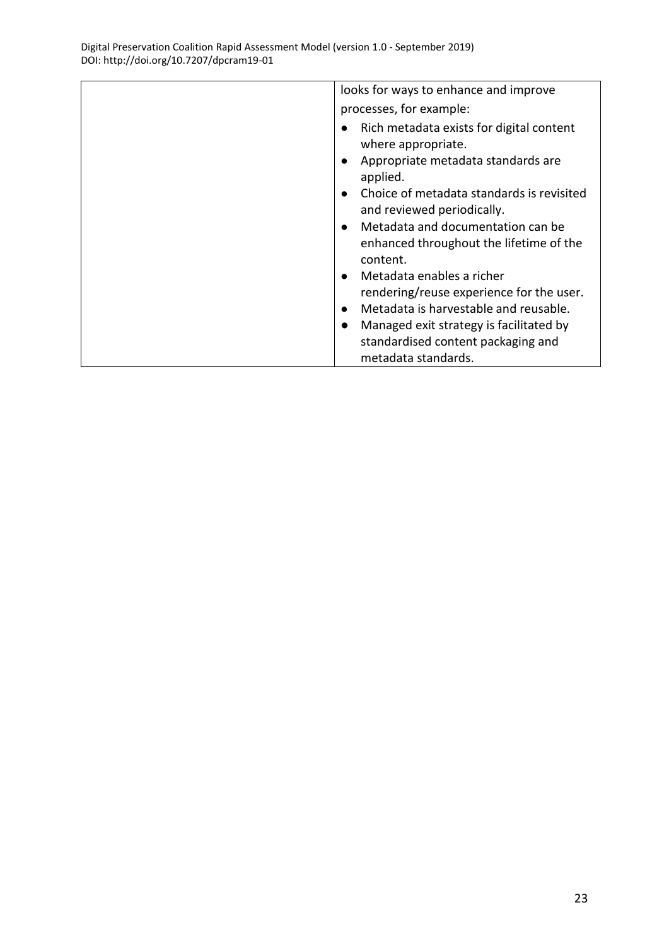| looks for ways to enhance and improve                                                                 |  |  |
|-------------------------------------------------------------------------------------------------------|--|--|
| processes, for example:                                                                               |  |  |
| Rich metadata exists for digital content<br>where appropriate.                                        |  |  |
| Appropriate metadata standards are<br>applied.                                                        |  |  |
| Choice of metadata standards is revisited<br>and reviewed periodically.                               |  |  |
| Metadata and documentation can be<br>$\bullet$<br>enhanced throughout the lifetime of the<br>content. |  |  |
| Metadata enables a richer                                                                             |  |  |
| rendering/reuse experience for the user.                                                              |  |  |
| Metadata is harvestable and reusable.<br>$\bullet$                                                    |  |  |
| Managed exit strategy is facilitated by<br>$\bullet$                                                  |  |  |
| standardised content packaging and                                                                    |  |  |
| metadata standards.                                                                                   |  |  |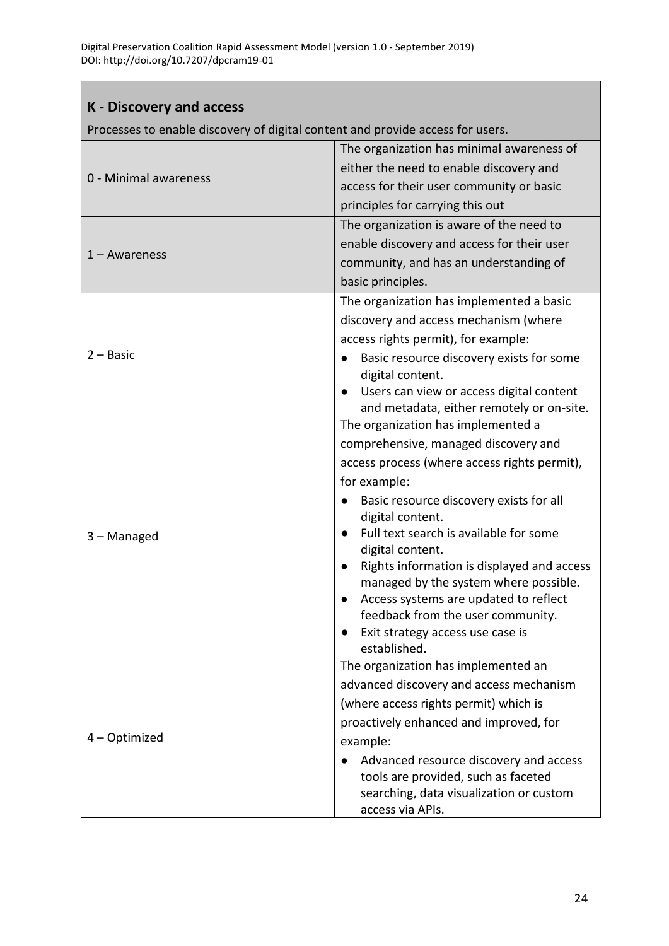### <span id="page-23-0"></span>**K - Discovery and access**

Processes to enable discovery of digital content and provide access for users.

|                       | The organization has minimal awareness of                  |  |  |
|-----------------------|------------------------------------------------------------|--|--|
| 0 - Minimal awareness | either the need to enable discovery and                    |  |  |
|                       | access for their user community or basic                   |  |  |
|                       | principles for carrying this out                           |  |  |
|                       | The organization is aware of the need to                   |  |  |
|                       | enable discovery and access for their user                 |  |  |
| $1 -$ Awareness       | community, and has an understanding of                     |  |  |
|                       | basic principles.                                          |  |  |
|                       | The organization has implemented a basic                   |  |  |
|                       | discovery and access mechanism (where                      |  |  |
|                       | access rights permit), for example:                        |  |  |
| $2 - Basic$           | Basic resource discovery exists for some                   |  |  |
|                       | digital content.                                           |  |  |
|                       | Users can view or access digital content                   |  |  |
|                       | and metadata, either remotely or on-site.                  |  |  |
|                       | The organization has implemented a                         |  |  |
|                       | comprehensive, managed discovery and                       |  |  |
|                       | access process (where access rights permit),               |  |  |
|                       | for example:                                               |  |  |
|                       | Basic resource discovery exists for all                    |  |  |
|                       | digital content.                                           |  |  |
| 3 - Managed           | Full text search is available for some<br>digital content. |  |  |
|                       | Rights information is displayed and access                 |  |  |
|                       | managed by the system where possible.                      |  |  |
|                       | Access systems are updated to reflect                      |  |  |
|                       | feedback from the user community.                          |  |  |
|                       | Exit strategy access use case is                           |  |  |
|                       | established.                                               |  |  |
|                       | The organization has implemented an                        |  |  |
|                       | advanced discovery and access mechanism                    |  |  |
|                       | (where access rights permit) which is                      |  |  |
|                       | proactively enhanced and improved, for                     |  |  |
| 4 - Optimized         | example:                                                   |  |  |
|                       | Advanced resource discovery and access                     |  |  |
|                       | tools are provided, such as faceted                        |  |  |
|                       | searching, data visualization or custom                    |  |  |
|                       | access via APIs.                                           |  |  |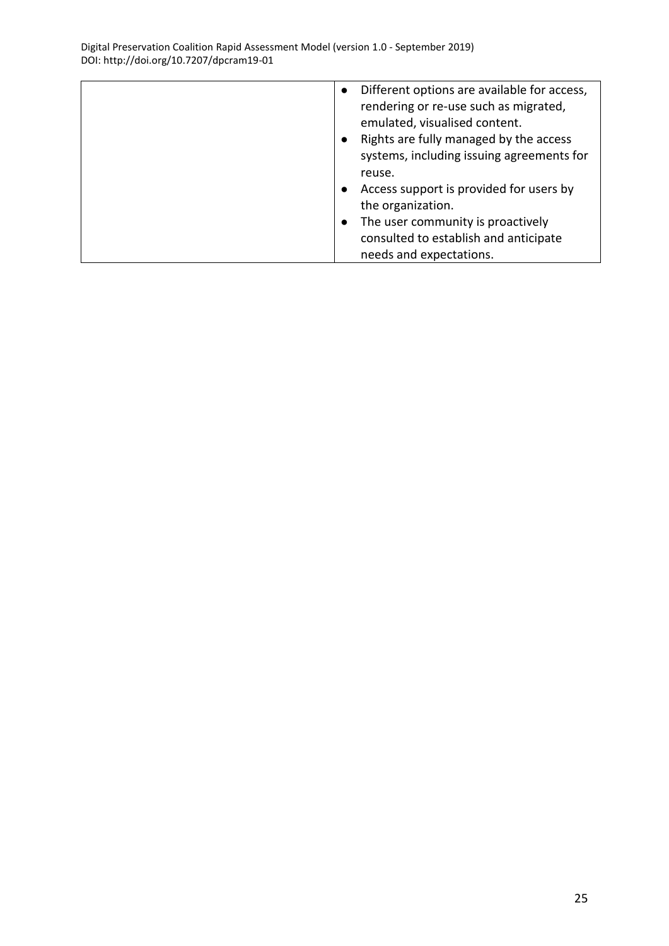| Different options are available for access,<br>$\bullet$<br>rendering or re-use such as migrated,<br>emulated, visualised content.<br>Rights are fully managed by the access<br>$\bullet$<br>systems, including issuing agreements for<br>reuse.<br>Access support is provided for users by<br>the organization.<br>The user community is proactively<br>$\bullet$<br>consulted to establish and anticipate |
|-------------------------------------------------------------------------------------------------------------------------------------------------------------------------------------------------------------------------------------------------------------------------------------------------------------------------------------------------------------------------------------------------------------|
| needs and expectations.                                                                                                                                                                                                                                                                                                                                                                                     |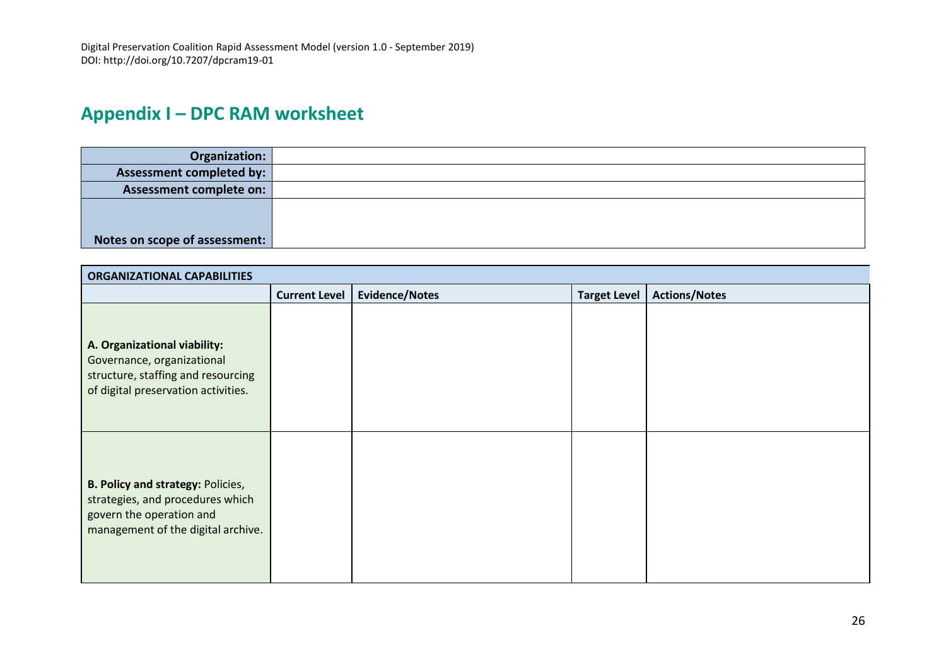# **Appendix I – DPC RAM worksheet**

| Organization:                   |  |
|---------------------------------|--|
| <b>Assessment completed by:</b> |  |
| <b>Assessment complete on:</b>  |  |
|                                 |  |
|                                 |  |
| Notes on scope of assessment:   |  |

<span id="page-25-0"></span>

| <b>ORGANIZATIONAL CAPABILITIES</b>                                                                                                             |                      |                       |                     |                      |
|------------------------------------------------------------------------------------------------------------------------------------------------|----------------------|-----------------------|---------------------|----------------------|
|                                                                                                                                                | <b>Current Level</b> | <b>Evidence/Notes</b> | <b>Target Level</b> | <b>Actions/Notes</b> |
| A. Organizational viability:<br>Governance, organizational<br>structure, staffing and resourcing<br>of digital preservation activities.        |                      |                       |                     |                      |
| <b>B. Policy and strategy: Policies,</b><br>strategies, and procedures which<br>govern the operation and<br>management of the digital archive. |                      |                       |                     |                      |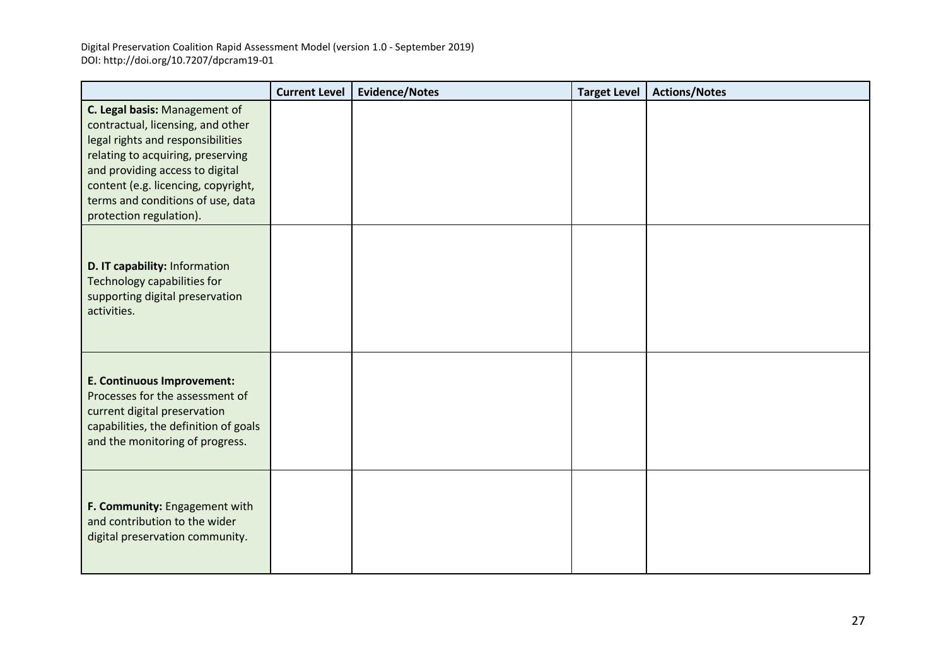|                                                                                                                                                                                                                                                                                        | <b>Current Level</b> | <b>Evidence/Notes</b> | <b>Target Level</b> | <b>Actions/Notes</b> |
|----------------------------------------------------------------------------------------------------------------------------------------------------------------------------------------------------------------------------------------------------------------------------------------|----------------------|-----------------------|---------------------|----------------------|
| C. Legal basis: Management of<br>contractual, licensing, and other<br>legal rights and responsibilities<br>relating to acquiring, preserving<br>and providing access to digital<br>content (e.g. licencing, copyright,<br>terms and conditions of use, data<br>protection regulation). |                      |                       |                     |                      |
| D. IT capability: Information<br>Technology capabilities for<br>supporting digital preservation<br>activities.                                                                                                                                                                         |                      |                       |                     |                      |
| <b>E. Continuous Improvement:</b><br>Processes for the assessment of<br>current digital preservation<br>capabilities, the definition of goals<br>and the monitoring of progress.                                                                                                       |                      |                       |                     |                      |
| F. Community: Engagement with<br>and contribution to the wider<br>digital preservation community.                                                                                                                                                                                      |                      |                       |                     |                      |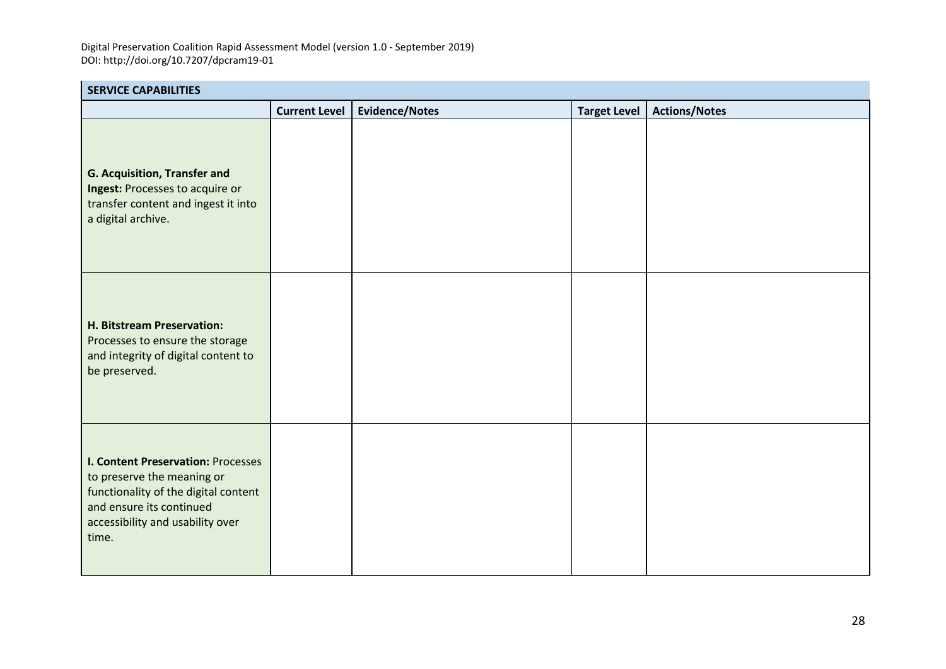| <b>SERVICE CAPABILITIES</b>                                                                                                                                                              |                      |                       |                     |                      |  |  |  |
|------------------------------------------------------------------------------------------------------------------------------------------------------------------------------------------|----------------------|-----------------------|---------------------|----------------------|--|--|--|
|                                                                                                                                                                                          | <b>Current Level</b> | <b>Evidence/Notes</b> | <b>Target Level</b> | <b>Actions/Notes</b> |  |  |  |
| G. Acquisition, Transfer and<br>Ingest: Processes to acquire or<br>transfer content and ingest it into<br>a digital archive.                                                             |                      |                       |                     |                      |  |  |  |
| H. Bitstream Preservation:<br>Processes to ensure the storage<br>and integrity of digital content to<br>be preserved.                                                                    |                      |                       |                     |                      |  |  |  |
| <b>I. Content Preservation: Processes</b><br>to preserve the meaning or<br>functionality of the digital content<br>and ensure its continued<br>accessibility and usability over<br>time. |                      |                       |                     |                      |  |  |  |